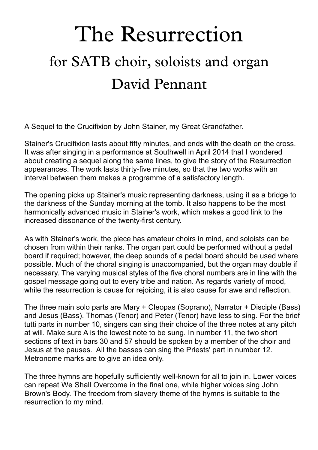# David Pennant The Resurrection for SATB choir, soloists and organ

A Sequel to the Crucifixion by John Stainer, my Great Grandfather.

Stainer's Crucifixion lasts about fifty minutes, and ends with the death on the cross. It was after singing in a performance at Southwell in April 2014 that I wondered about creating a sequel along the same lines, to give the story of the Resurrection appearances. The work lasts thirty-five minutes, so that the two works with an interval between them makes a programme of a satisfactory length.

The opening picks up Stainer's music representing darkness, using it as a bridge to the darkness of the Sunday morning at the tomb. It also happens to be the most harmonically advanced music in Stainer's work, which makes a good link to the increased dissonance of the twenty-first century.

As with Stainer's work, the piece has amateur choirs in mind, and soloists can be chosen from within their ranks. The organ part could be performed without a pedal board if required; however, the deep sounds of a pedal board should be used where possible. Much of the choral singing is unaccompanied, but the organ may double if necessary. The varying musical styles of the five choral numbers are in line with the gospel message going out to every tribe and nation. As regards variety of mood, while the resurrection is cause for rejoicing, it is also cause for awe and reflection.

The three main solo parts are Mary + Cleopas (Soprano), Narrator + Disciple (Bass) and Jesus (Bass). Thomas (Tenor) and Peter (Tenor) have less to sing. For the brief tutti parts in number 10, singers can sing their choice of the three notes at any pitch at will. Make sure A is the lowest note to be sung. In number 11, the two short sections of text in bars 30 and 57 should be spoken by a member of the choir and Jesus at the pauses. All the basses can sing the Priests' part in number 12. Metronome marks are to give an idea only.

The three hymns are hopefully sufficiently well-known forall to join in. Lower voices can repeat We Shall Overcome in the final one, while higher voices sing John Brown's Body. The freedom from slavery theme of the hymns is suitable to the resurrection to my mind.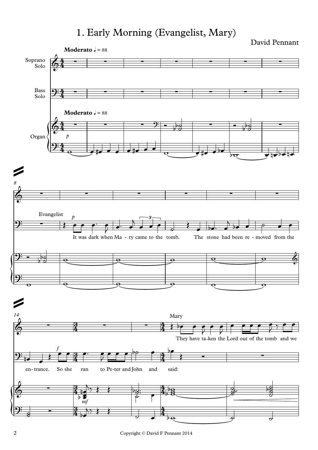# 1. Early Morning (Evangelist, Mary)

David Pennant

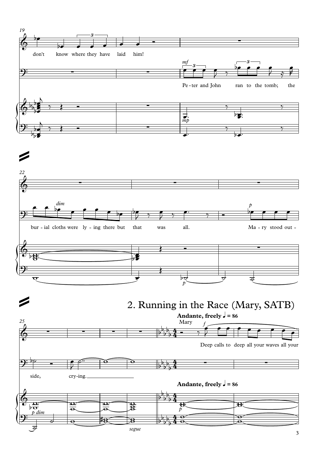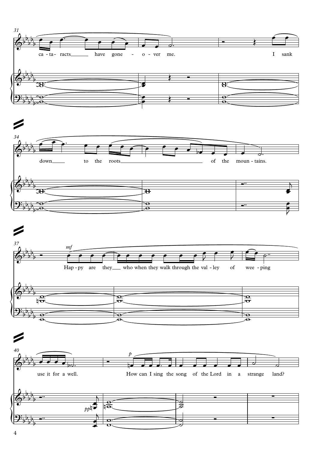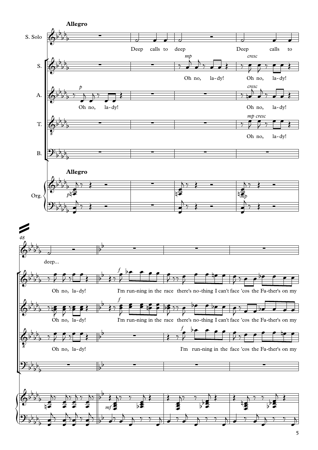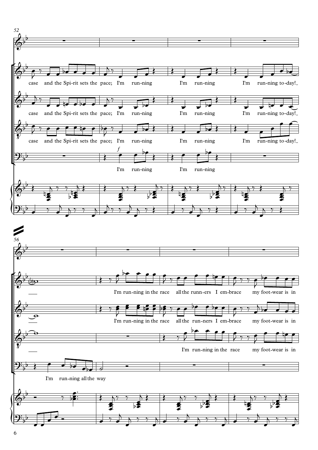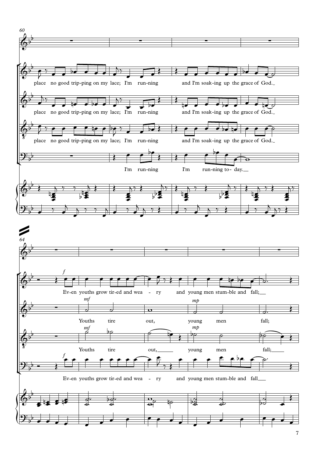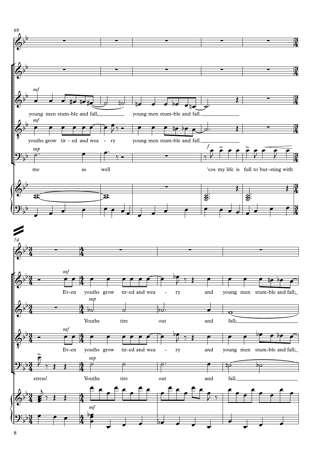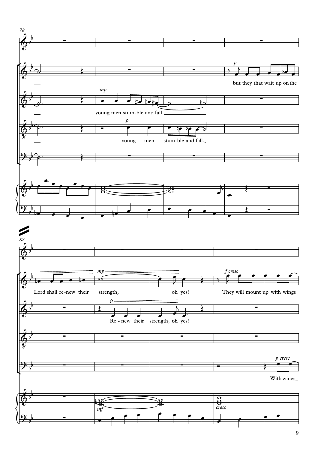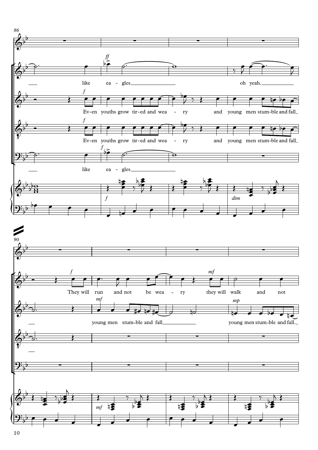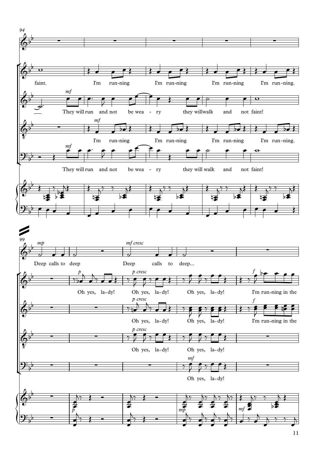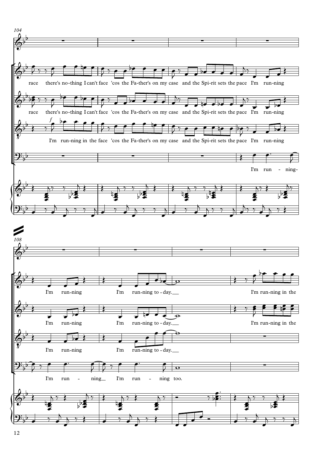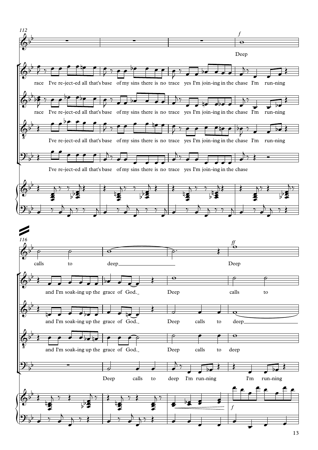

<sup>13</sup>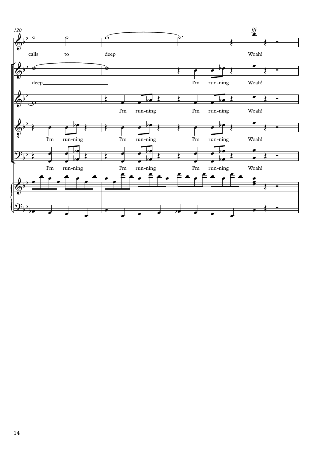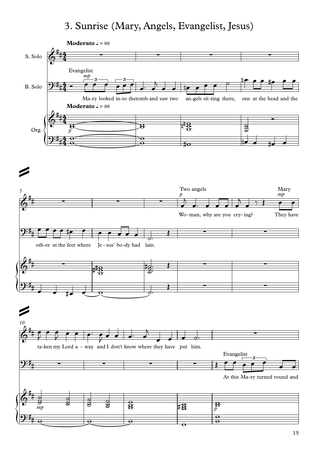### 3. Sunrise (Mary, Angels, Evangelist, Jesus)

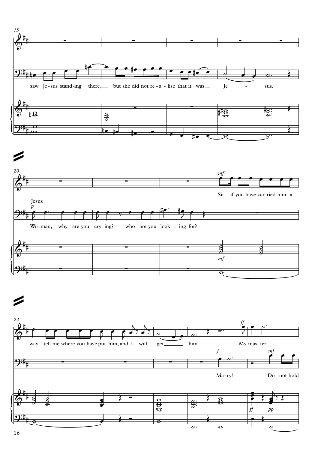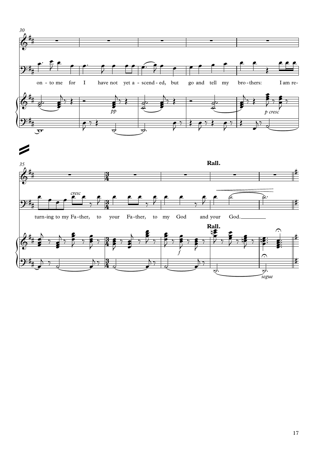![](_page_16_Figure_0.jpeg)

![](_page_16_Figure_1.jpeg)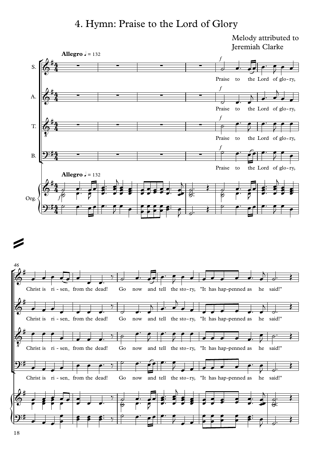#### 4. Hymn: Praise to the Lord of Glory

Jeremiah Clarke

![](_page_17_Figure_2.jpeg)

![](_page_17_Figure_3.jpeg)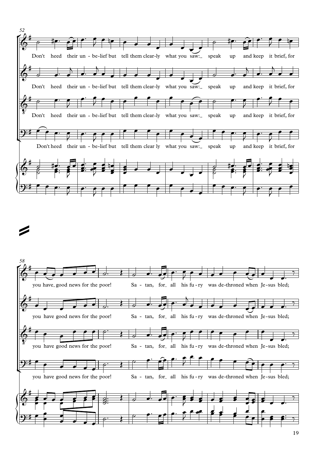![](_page_18_Figure_0.jpeg)

![](_page_18_Figure_2.jpeg)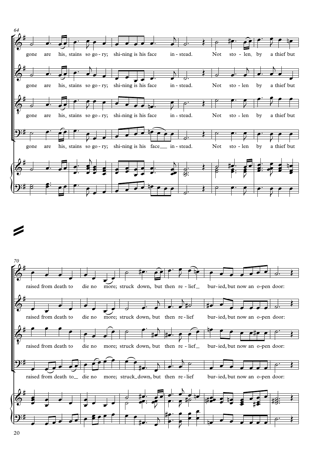![](_page_19_Figure_0.jpeg)

![](_page_19_Figure_1.jpeg)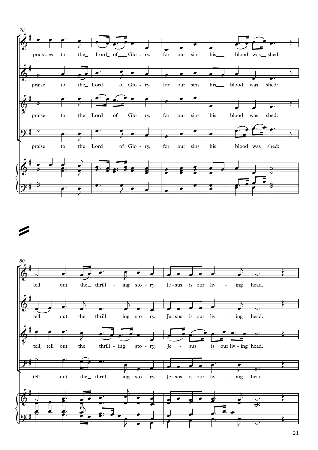![](_page_20_Figure_0.jpeg)

![](_page_20_Figure_1.jpeg)

![](_page_20_Figure_2.jpeg)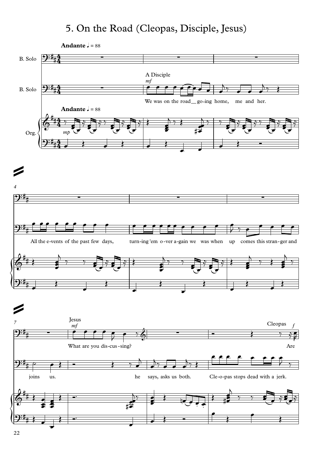# 5. On the Road (Cleopas, Disciple, Jesus)

![](_page_21_Figure_1.jpeg)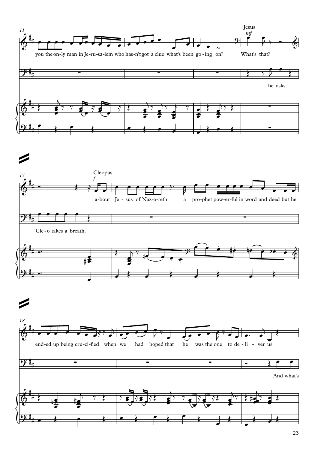![](_page_22_Figure_0.jpeg)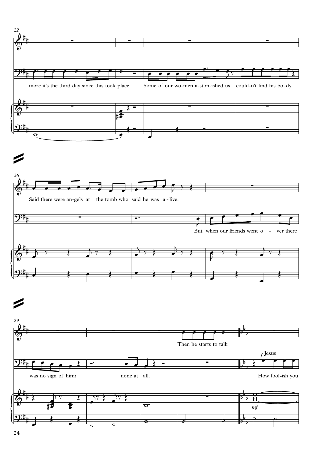![](_page_23_Figure_0.jpeg)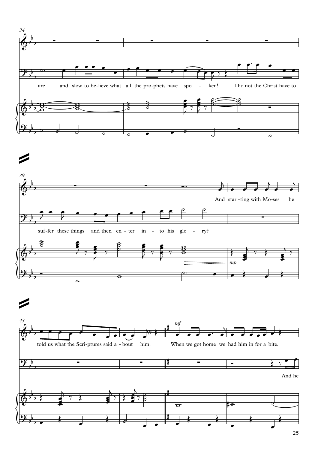![](_page_24_Figure_0.jpeg)

![](_page_24_Figure_1.jpeg)

![](_page_24_Figure_2.jpeg)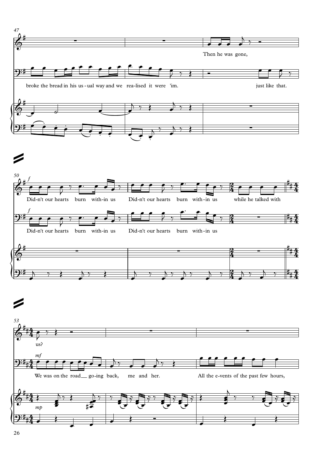![](_page_25_Figure_0.jpeg)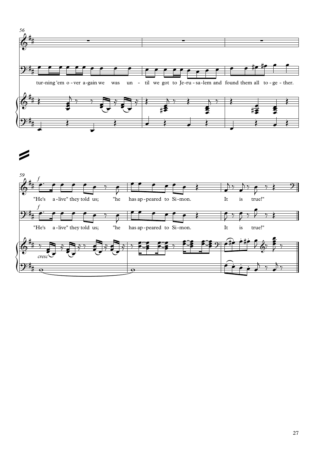![](_page_26_Figure_0.jpeg)

![](_page_26_Figure_2.jpeg)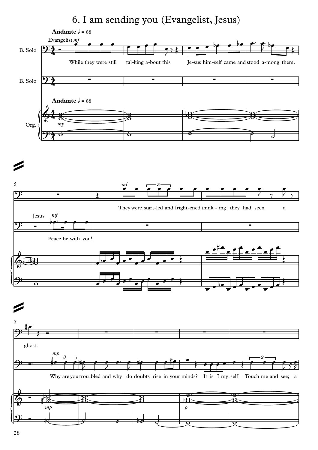# 6. I am sending you (Evangelist, Jesus)

![](_page_27_Figure_1.jpeg)

![](_page_27_Figure_2.jpeg)

![](_page_27_Figure_3.jpeg)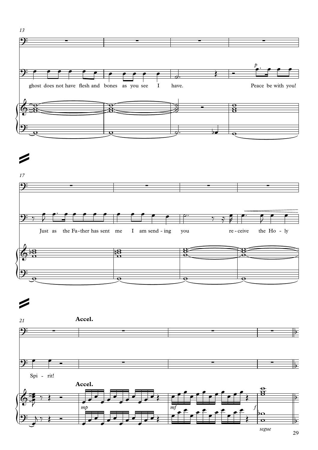![](_page_28_Figure_0.jpeg)

![](_page_28_Figure_2.jpeg)

![](_page_28_Figure_3.jpeg)

![](_page_28_Figure_4.jpeg)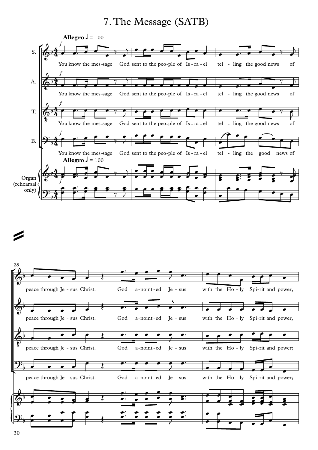#### 7.The Message (SATB)

![](_page_29_Figure_1.jpeg)

![](_page_29_Figure_2.jpeg)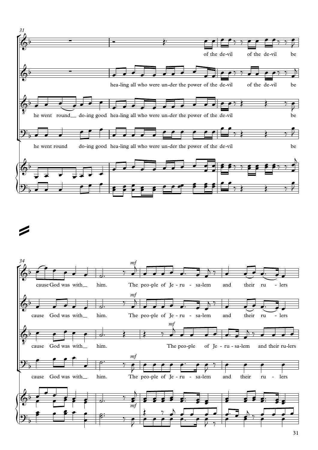![](_page_30_Figure_0.jpeg)

![](_page_30_Figure_2.jpeg)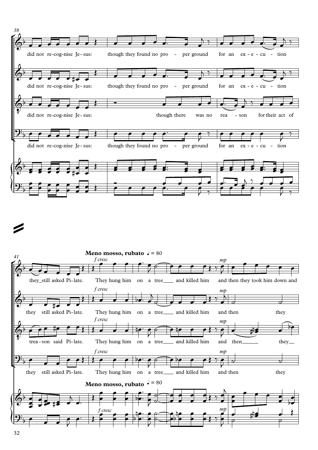![](_page_31_Figure_0.jpeg)

![](_page_31_Figure_2.jpeg)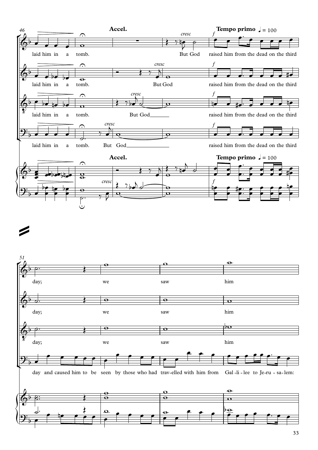![](_page_32_Figure_0.jpeg)

![](_page_32_Figure_1.jpeg)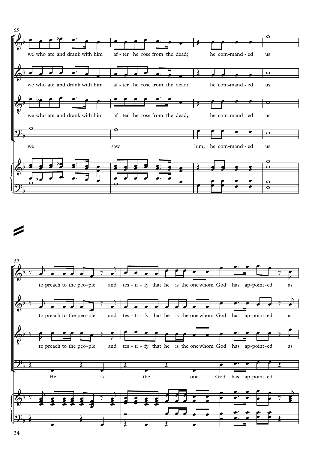![](_page_33_Figure_0.jpeg)

![](_page_33_Figure_1.jpeg)

![](_page_33_Figure_2.jpeg)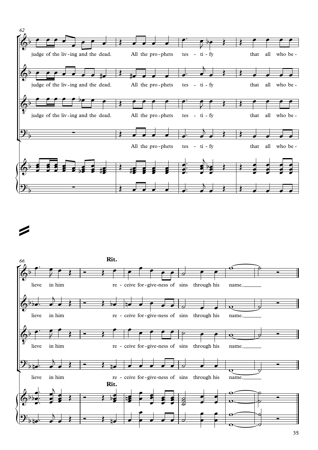![](_page_34_Figure_0.jpeg)

![](_page_34_Figure_2.jpeg)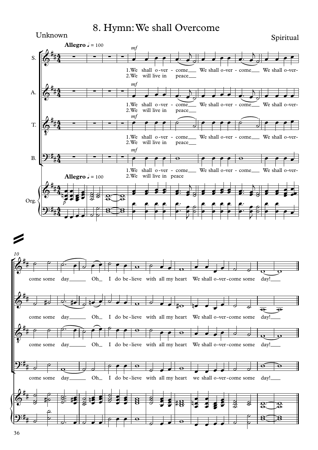#### 8. Hymn:We shall Overcome

#### $\int$  $\frac{1}{2}$  $\sqrt{\frac{1}{2}}$ S. A. T. B. Org. 1. We shall o-ver - come\_\_\_ We shall o-ver - come\_\_\_ We shall o-ver-2.We will live *mf* in peace **Allegro**  $\sqrt{ } = 100$ 1.We<br>2.We 2. We will live in 1 *mf* shall 0-ver - come\_\_\_ W in peace  $\equiv$  We shall o-ver - come $\equiv$  We shall o-ver-1. We shall o-ver - come\_\_\_ We shall o-ver - come\_\_\_ We shall o-ver-2.We will live *mf* in peace 1. We shall o-ver - come\_\_\_ We shall o-ver - come\_\_\_ We shall o-ver-2.We will live in peace *mf p* **Allegro**  $\sqrt{ } = 100$  $4 \frac{4}{4}$  - $4 \frac{4}{4}$  - $4 \frac{4}{4}$  - $4 \frac{4}{4}$  - $4 \frac{1}{2}$  $\frac{4}{4}$ ,  $\frac{4}{4}$ ,  $\frac{4}{4}$  $\frac{1}{4}$  $\frac{4}{4}$  $\oint_0^{\pi} \frac{44}{4}$  -## <sup>∑</sup> <sup>∑</sup> <sup>∑</sup> <sup>∑</sup> Unknown Spiritual newsletch with the set of the set of the set of the set of the set of the set of the set of the set of the set of the set of the set of the set of the set of the set of the set of the set of the set of th  $\oint_0^{\pi} \frac{44}{4}$  - - $\frac{1}{4}$   $\frac{1}{4}$ # ∑ ∑ ∑ ∑  $\oint_0^{\pi} \frac{44}{4}$  - $\frac{1}{8}$  $\frac{1}{4}$   $\frac{1}{4}$ # ∑ ∑ ∑ ∑  $9:44$ # ∑ ∑ ∑ ∑  $\oint_0^{\pi} 4.224$  $t_{\rm H}$   $\mu$  $\frac{1}{2}$  $9:44$  $\frac{4}{4}$ œ œ œ œ œ™ œ  $\overline{\ }$ ˙ œ œ œ œ œ™ œ  $\overline{\phantom{0}}$ ˙  $\bullet$   $\bullet$   $\bullet$   $\bullet$ œ œ œ œ œ™ œ  $\overline{\ }$ ˙ œ œ œ œ œ™ œ  $\overline{\phantom{a}}$ ˙ œ œ œ œ  $e$   $e$   $e$   $e$   $e$   $e$   $e$ ˙  $\bullet$   $\bullet$   $\bullet$   $\circ$   $\circ$   $\bullet$   $\bullet$  $\overline{\phantom{a}}$  $e$  e e  $e$ œ œ œ œ w œ œ œ œ w œ œ œ œ **esse e** ec. 2 2 œ  $\frac{1}{2}$   $\frac{1}{2}$   $\frac{2}{3}$   $\frac{2}{3}$   $\frac{2}{3}$   $\frac{2}{3}$   $\frac{2}{3}$   $\frac{2}{3}$   $\frac{2}{3}$   $\frac{2}{3}$   $\frac{2}{3}$   $\frac{2}{3}$   $\frac{2}{3}$   $\frac{2}{3}$   $\frac{2}{3}$   $\frac{2}{3}$   $\frac{2}{3}$   $\frac{2}{3}$   $\frac{2}{3}$   $\frac{2}{3}$   $\frac{2}{3}$   $\frac{2}{3}$   $\frac{2}{3}$  $\frac{2}{3}$  $\frac{2}{3}$  $\frac{1}{2}$  $\sharp$ ə $\parallel$ əə $\parallel$  $\frac{2}{3}$   $\frac{2}{3}$   $\frac{6}{9}$  $\frac{22}{6}$  $\frac{2}{3}$  $\frac{1}{3}$  $\frac{1}{3}$  $\frac{1}{3}$  $\frac{1}{3}$  $\frac{1}{2}$   $\frac{1}{2}$  $\frac{\alpha}{\theta}$ **<u>∞</u>** *e* **e e e e e**<br>∞  $\cdot$   $\cdot$   $\cdot$   $\cdot$   $\cdot$   $\cdot$  $\overline{\ }$ g <del>8 8 3</del> **∉ ≉ ≉ ≉ ∉**  $\cdot$   $\cdot$   $\cdot$   $\cdot$   $\cdot$  $\overline{\ }$ g <del>1 1 j</del>  $e$   $e$   $e$ œ œœ œ  $\bullet \bullet \bullet \bullet \bullet \bullet \bullet$  $\frac{1}{8}$  $\sim$  8  $\rightarrow$  8  $88.8$   $\cdot$   $\cdot$   $\cdot$  $e$   $e$   $e$  $\overline{\phantom{a}}$  $e$   $e$   $e$   $|$  $\overline{\phantom{a}}$ œ  $\bullet$   $\bullet$ œ  $\bullet$   $\bullet$   $\bullet$ œ œ™  $\frac{1}{\sqrt{1-\frac{1}{2}}}$  $\bullet$ **JEHRE**  $\rho$   $\rho$   $\rho$   $\rho$  $\circ$   $\bullet$   $\bullet$   $\bullet$ œ  $\overline{\phantom{a}}$ œ . . . .  $\mathbf{e} \neq |\mathbf{e} \cdot \rangle$  $\overrightarrow{z}$  $\epsilon \mid \epsilon$  $\bullet$   $\bullet$   $\bullet$ œ œ™  $\frac{1}{\sqrt{1-\frac{1}{2}}}$  $\bullet$ J T  $\circ$   $\overline{\phantom{a}}$  $\circ$   $\bullet$   $\bullet$   $\bullet$  $\bullet$   $\bullet$  $\overline{\phantom{a}}$ œ  $\bullet$   $\bullet$   $\bullet$

![](_page_35_Figure_2.jpeg)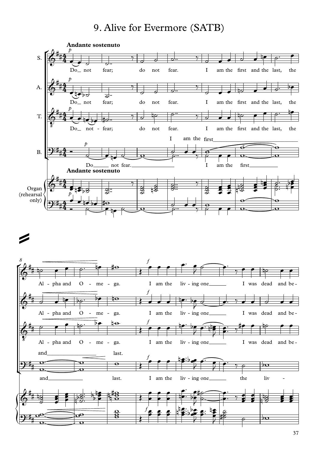### 9. Alive for Evermore (SATB)



### $\mathbb{Z}$  and the set of  $\mathbb{Z}$

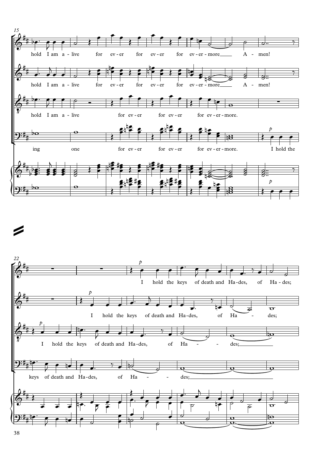



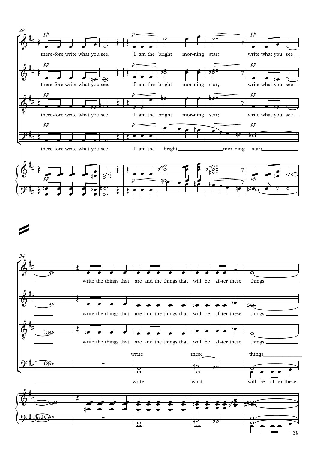

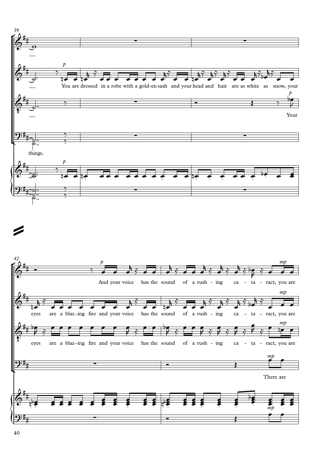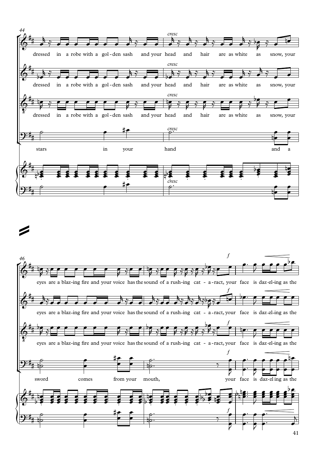

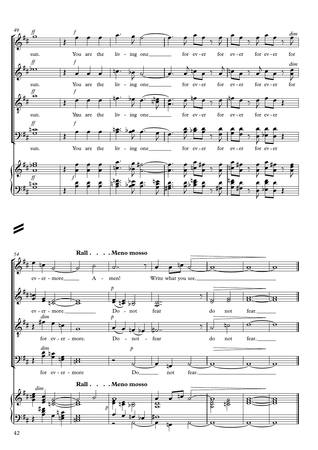

# $\mathbb{Z}$  and the set of  $\mathbb{Z}$

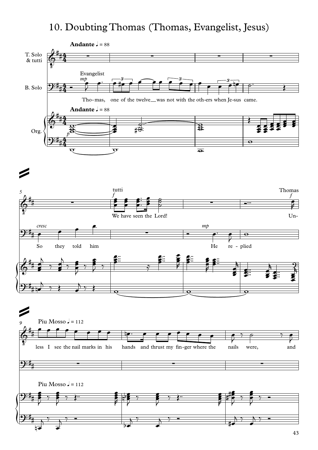#### 10. Doubting Thomas (Thomas, Evangelist, Jesus)

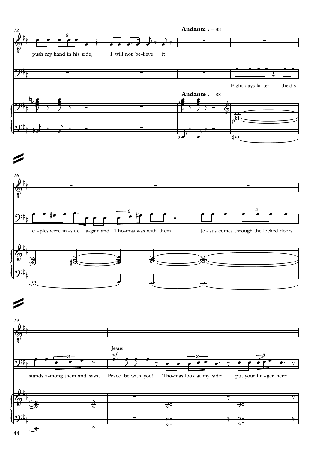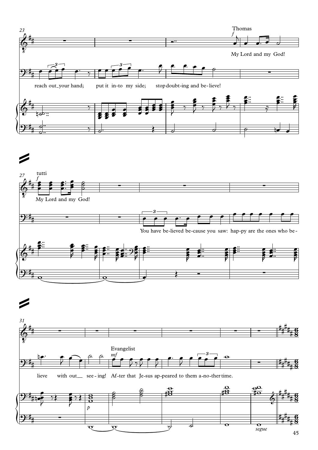

 $\mathbb{Z}$  and the set of  $\mathbb{Z}$ 



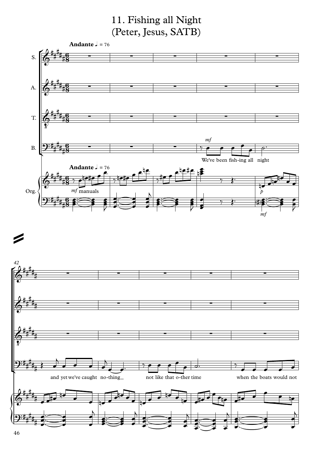### 11. Fishing all Night (Peter, Jesus, SATB)



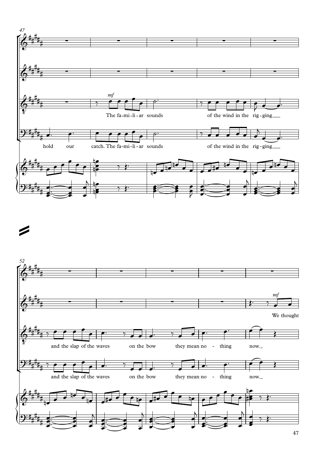

Í

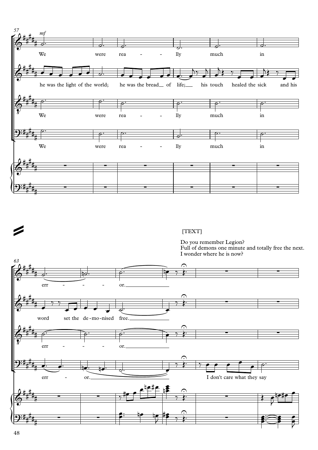

[TEXT]

Do you remember Legion?

Full of demons one minute and totally free the next. I wonder where he is now?

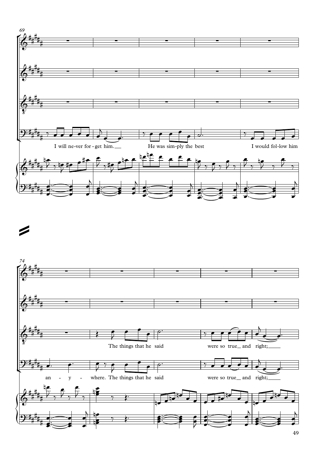



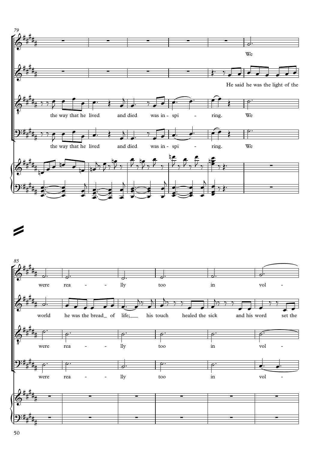

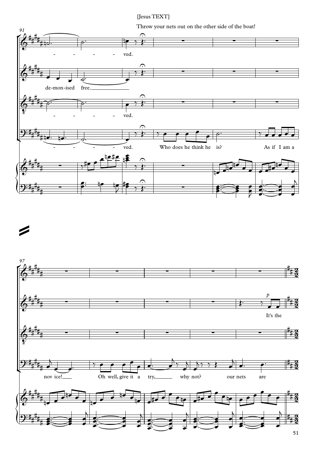[Jesus TEXT]

Throw your nets out on the other side of the boat!





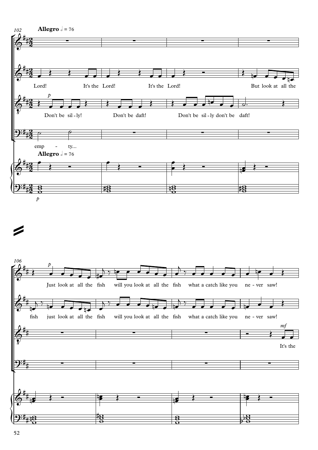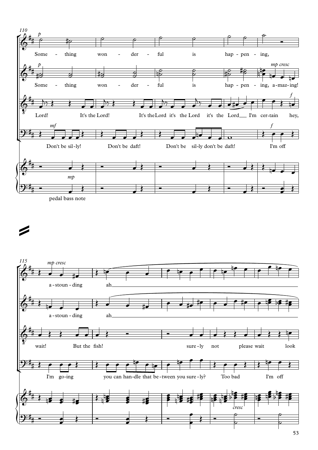

pedal bass note

## $\overline{\phantom{a}}$

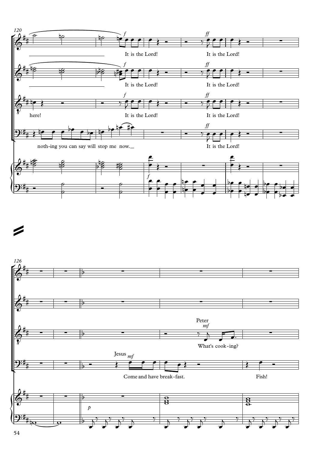

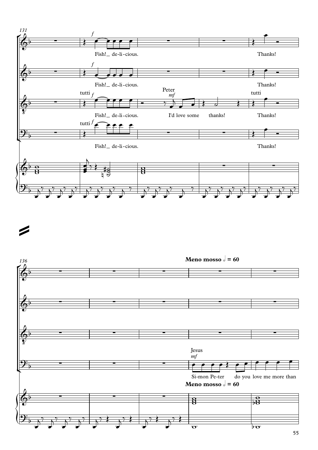

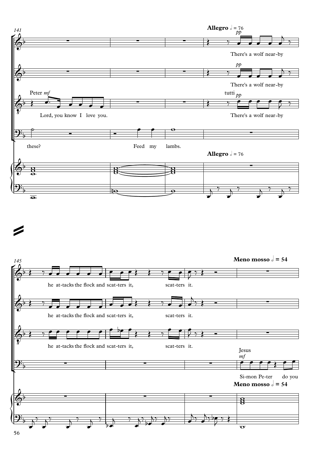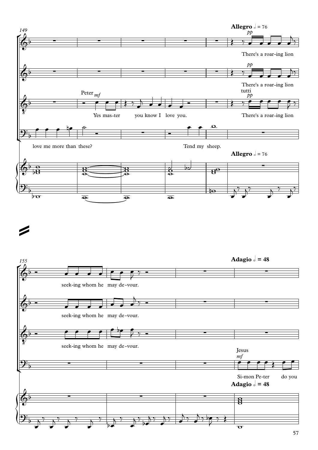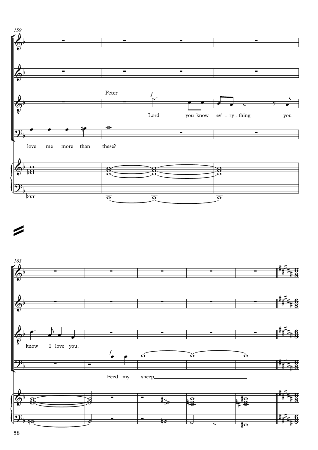

 $\overline{\phantom{a}}$ 

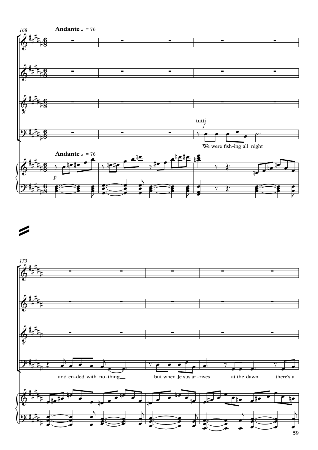



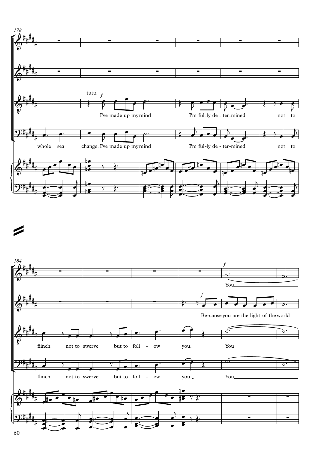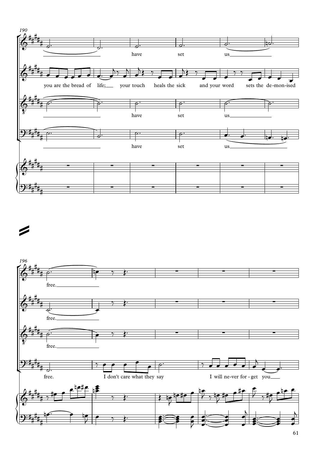

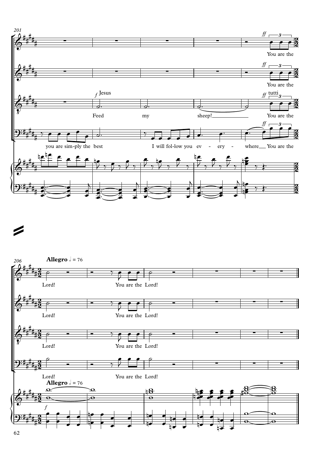

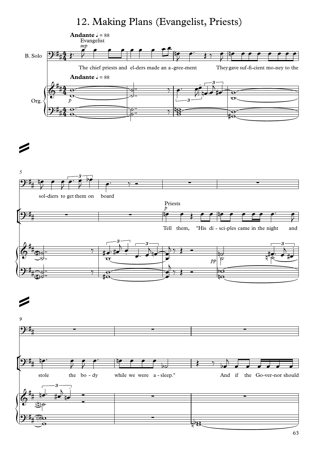#### 12. Making Plans (Evangelist, Priests)

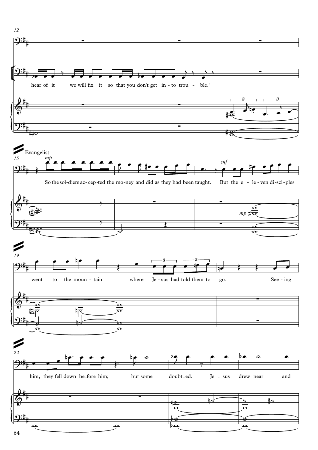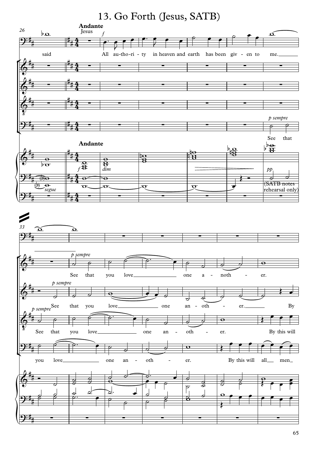#### 13. Go Forth (Jesus, SATB)

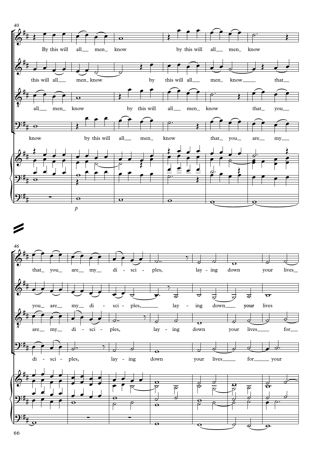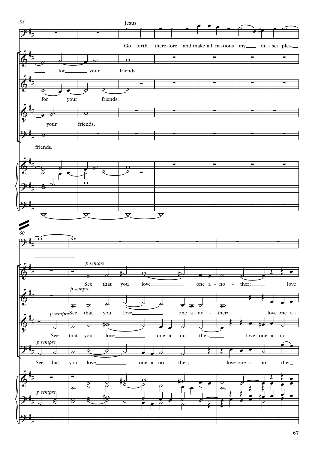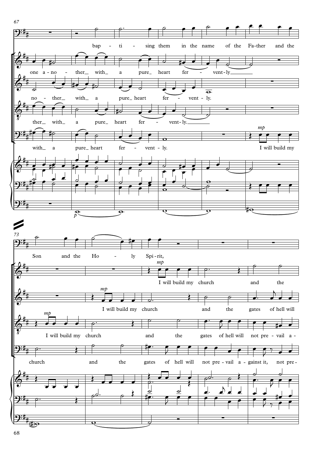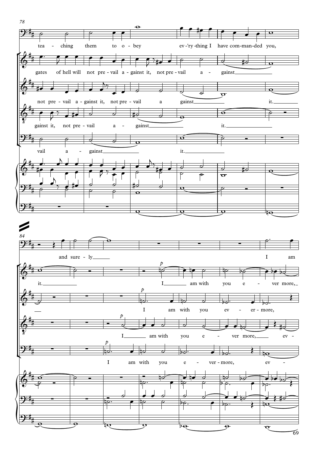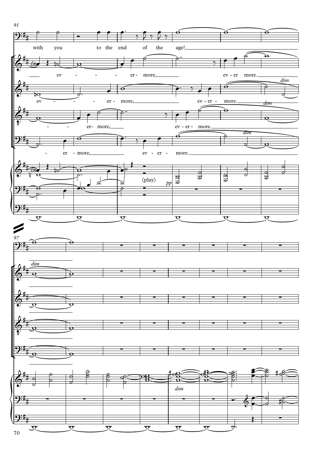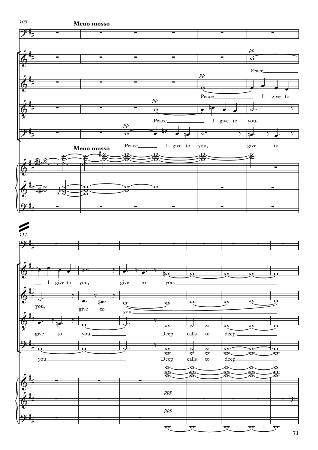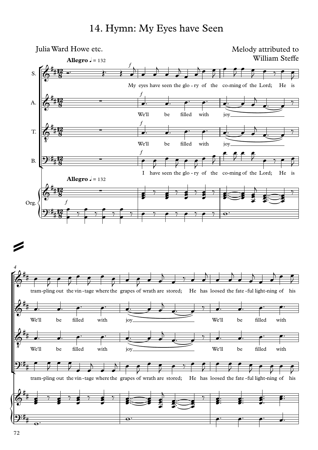#### 14. Hymn: My Eyes have Seen

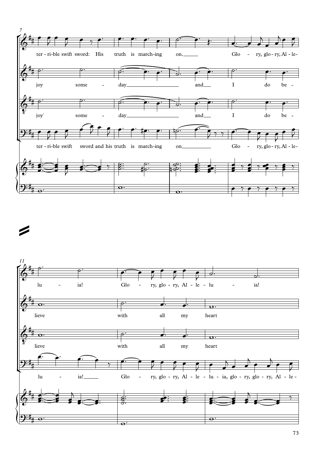